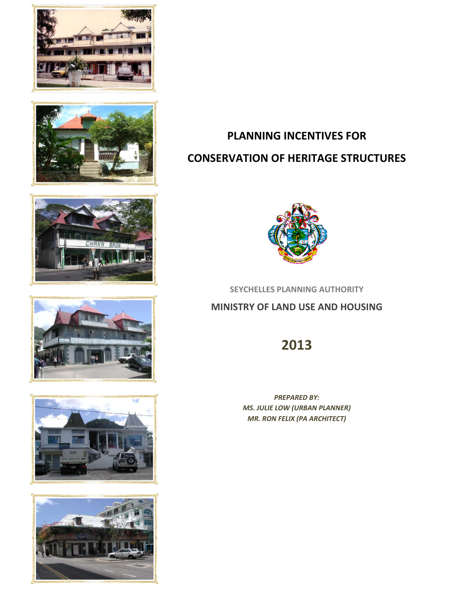











# **PLANNING INCENTIVES FOR CONSERVATION OF HERITAGE STRUCTURES**



**SEYCHELLES PLANNING AUTHORITY**

## **MINISTRY OF LAND USE AND HOUSING**

# **2013**

*PREPARED BY: MS. JULIE LOW (URBAN PLANNER) MR. RON FELIX (PA ARCHITECT)*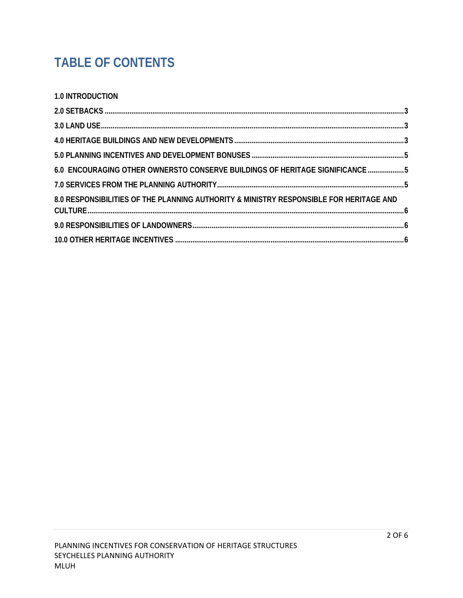# **TABLE OF CONTENTS**

|  | <b>1.0 INTRODUCTION</b> |  |
|--|-------------------------|--|
|--|-------------------------|--|

| 6.0 ENCOURAGING OTHER OWNERSTO CONSERVE BUILDINGS OF HERITAGE SIGNIFICANCE 5           |  |
|----------------------------------------------------------------------------------------|--|
|                                                                                        |  |
| 8.0 RESPONSIBILITIES OF THE PLANNING AUTHORITY & MINISTRY RESPONSIBLE FOR HERITAGE AND |  |
|                                                                                        |  |
|                                                                                        |  |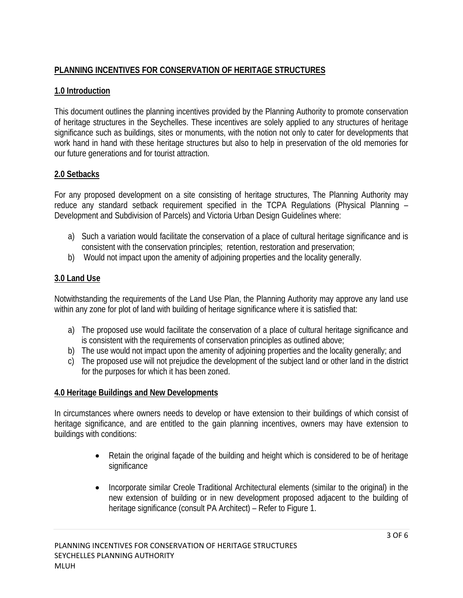## **PLANNING INCENTIVES FOR CONSERVATION OF HERITAGE STRUCTURES**

#### **1.0 Introduction**

This document outlines the planning incentives provided by the Planning Authority to promote conservation of heritage structures in the Seychelles. These incentives are solely applied to any structures of heritage significance such as buildings, sites or monuments, with the notion not only to cater for developments that work hand in hand with these heritage structures but also to help in preservation of the old memories for our future generations and for tourist attraction.

#### **2.0 Setbacks**

For any proposed development on a site consisting of heritage structures, The Planning Authority may reduce any standard setback requirement specified in the TCPA Regulations (Physical Planning – Development and Subdivision of Parcels) and Victoria Urban Design Guidelines where:

- a) Such a variation would facilitate the conservation of a place of cultural heritage significance and is consistent with the conservation principles; retention, restoration and preservation;
- b) Would not impact upon the amenity of adjoining properties and the locality generally.

### **3.0 Land Use**

Notwithstanding the requirements of the Land Use Plan, the Planning Authority may approve any land use within any zone for plot of land with building of heritage significance where it is satisfied that:

- a) The proposed use would facilitate the conservation of a place of cultural heritage significance and is consistent with the requirements of conservation principles as outlined above;
- b) The use would not impact upon the amenity of adjoining properties and the locality generally; and
- c) The proposed use will not prejudice the development of the subject land or other land in the district for the purposes for which it has been zoned.

#### **4.0 Heritage Buildings and New Developments**

In circumstances where owners needs to develop or have extension to their buildings of which consist of heritage significance, and are entitled to the gain planning incentives, owners may have extension to buildings with conditions:

- Retain the original façade of the building and height which is considered to be of heritage significance
- Incorporate similar Creole Traditional Architectural elements (similar to the original) in the new extension of building or in new development proposed adjacent to the building of heritage significance (consult PA Architect) – Refer to Figure 1.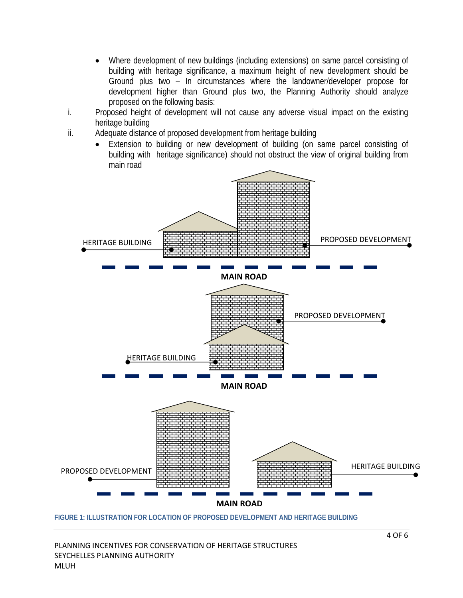- Where development of new buildings (including extensions) on same parcel consisting of building with heritage significance, a maximum height of new development should be Ground plus two – In circumstances where the landowner/developer propose for development higher than Ground plus two, the Planning Authority should analyze proposed on the following basis:
- i. Proposed height of development will not cause any adverse visual impact on the existing heritage building
- ii. Adequate distance of proposed development from heritage building
	- Extension to building or new development of building (on same parcel consisting of building with heritage significance) should not obstruct the view of original building from main road



**FIGURE 1: ILLUSTRATION FOR LOCATION OF PROPOSED DEVELOPMENT AND HERITAGE BUILDING**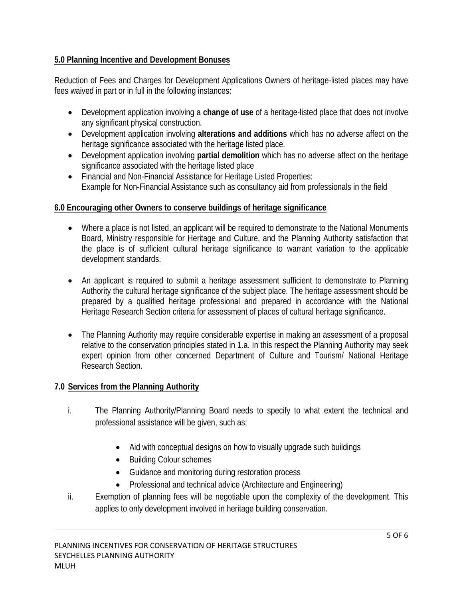#### **5.0 Planning Incentive and Development Bonuses**

Reduction of Fees and Charges for Development Applications Owners of heritage-listed places may have fees waived in part or in full in the following instances:

- Development application involving a **change of use** of a heritage-listed place that does not involve any significant physical construction.
- Development application involving **alterations and additions** which has no adverse affect on the heritage significance associated with the heritage listed place.
- Development application involving **partial demolition** which has no adverse affect on the heritage significance associated with the heritage listed place
- Financial and Non-Financial Assistance for Heritage Listed Properties: Example for Non-Financial Assistance such as consultancy aid from professionals in the field

#### **6.0 Encouraging other Owners to conserve buildings of heritage significance**

- Where a place is not listed, an applicant will be required to demonstrate to the National Monuments Board, Ministry responsible for Heritage and Culture, and the Planning Authority satisfaction that the place is of sufficient cultural heritage significance to warrant variation to the applicable development standards.
- An applicant is required to submit a heritage assessment sufficient to demonstrate to Planning Authority the cultural heritage significance of the subject place. The heritage assessment should be prepared by a qualified heritage professional and prepared in accordance with the National Heritage Research Section criteria for assessment of places of cultural heritage significance.
- The Planning Authority may require considerable expertise in making an assessment of a proposal relative to the conservation principles stated in 1.a. In this respect the Planning Authority may seek expert opinion from other concerned Department of Culture and Tourism/ National Heritage Research Section.

#### **7.0 Services from the Planning Authority**

- i. The Planning Authority/Planning Board needs to specify to what extent the technical and professional assistance will be given, such as;
	- Aid with conceptual designs on how to visually upgrade such buildings
	- Building Colour schemes
	- Guidance and monitoring during restoration process
	- Professional and technical advice (Architecture and Engineering)
- ii. Exemption of planning fees will be negotiable upon the complexity of the development. This applies to only development involved in heritage building conservation.